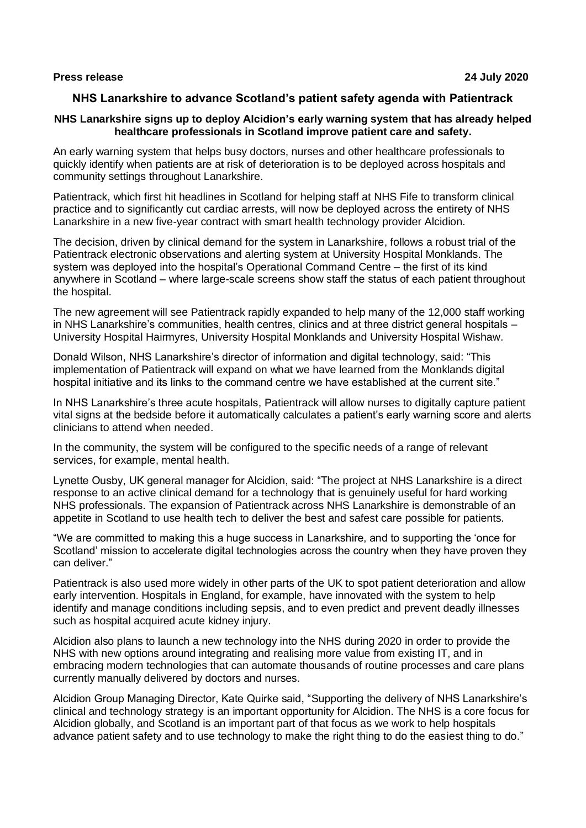# **NHS Lanarkshire to advance Scotland's patient safety agenda with Patientrack**

#### **NHS Lanarkshire signs up to deploy Alcidion's early warning system that has already helped healthcare professionals in Scotland improve patient care and safety.**

An early warning system that helps busy doctors, nurses and other healthcare professionals to quickly identify when patients are at risk of deterioration is to be deployed across hospitals and community settings throughout Lanarkshire.

Patientrack, which first hit headlines in Scotland for helping staff at NHS Fife to transform clinical practice and to significantly cut cardiac arrests, will now be deployed across the entirety of NHS Lanarkshire in a new five-year contract with smart health technology provider Alcidion.

The decision, driven by clinical demand for the system in Lanarkshire, follows a robust trial of the Patientrack electronic observations and alerting system at University Hospital Monklands. The system was deployed into the hospital's Operational Command Centre – the first of its kind anywhere in Scotland – where large-scale screens show staff the status of each patient throughout the hospital.

The new agreement will see Patientrack rapidly expanded to help many of the 12,000 staff working in NHS Lanarkshire's communities, health centres, clinics and at three district general hospitals – University Hospital Hairmyres, University Hospital Monklands and University Hospital Wishaw.

Donald Wilson, NHS Lanarkshire's director of information and digital technology, said: "This implementation of Patientrack will expand on what we have learned from the Monklands digital hospital initiative and its links to the command centre we have established at the current site."

In NHS Lanarkshire's three acute hospitals, Patientrack will allow nurses to digitally capture patient vital signs at the bedside before it automatically calculates a patient's early warning score and alerts clinicians to attend when needed.

In the community, the system will be configured to the specific needs of a range of relevant services, for example, mental health.

Lynette Ousby, UK general manager for Alcidion, said: "The project at NHS Lanarkshire is a direct response to an active clinical demand for a technology that is genuinely useful for hard working NHS professionals. The expansion of Patientrack across NHS Lanarkshire is demonstrable of an appetite in Scotland to use health tech to deliver the best and safest care possible for patients.

"We are committed to making this a huge success in Lanarkshire, and to supporting the 'once for Scotland' mission to accelerate digital technologies across the country when they have proven they can deliver."

Patientrack is also used more widely in other parts of the UK to spot patient deterioration and allow early intervention. Hospitals in England, for example, have innovated with the system to help identify and manage conditions including sepsis, and to even predict and prevent deadly illnesses such as hospital acquired acute kidney injury.

Alcidion also plans to launch a new technology into the NHS during 2020 in order to provide the NHS with new options around integrating and realising more value from existing IT, and in embracing modern technologies that can automate thousands of routine processes and care plans currently manually delivered by doctors and nurses.

Alcidion Group Managing Director, Kate Quirke said, "Supporting the delivery of NHS Lanarkshire's clinical and technology strategy is an important opportunity for Alcidion. The NHS is a core focus for Alcidion globally, and Scotland is an important part of that focus as we work to help hospitals advance patient safety and to use technology to make the right thing to do the easiest thing to do."